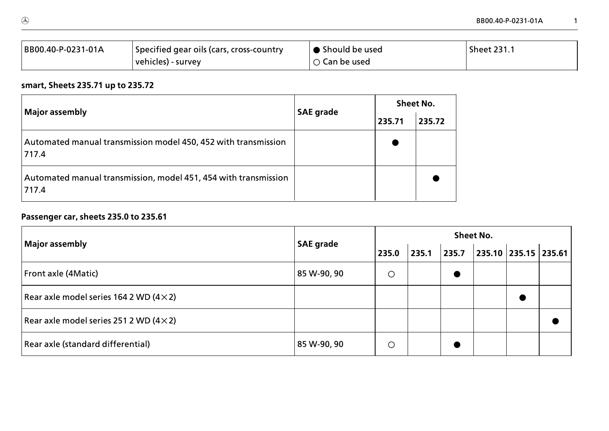| BB00.40-P-0231-01A | Specified gear oils (cars, cross-country | Should be used         | <b>Sheet 231.1</b> |
|--------------------|------------------------------------------|------------------------|--------------------|
|                    | vehicles) - survey                       | $\bigcirc$ Can be used |                    |

# **smart, Sheets 235.71 up to 235.72**

| <b>Major assembly</b>                                                    | <b>SAE grade</b> | <b>Sheet No.</b> |        |  |  |
|--------------------------------------------------------------------------|------------------|------------------|--------|--|--|
|                                                                          |                  | 235.71           | 235.72 |  |  |
| Automated manual transmission model 450, 452 with transmission<br>717.4  |                  |                  |        |  |  |
| Automated manual transmission, model 451, 454 with transmission<br>717.4 |                  |                  |        |  |  |

# **Passenger car, sheets 235.0 to 235.61**

| Major assembly                                 |                  | <b>Sheet No.</b> |       |       |  |                          |  |  |  |
|------------------------------------------------|------------------|------------------|-------|-------|--|--------------------------|--|--|--|
|                                                | <b>SAE grade</b> | 235.0            | 235.1 | 235.7 |  | 235.10   235.15   235.61 |  |  |  |
| Front axle (4Matic)                            | 85 W-90, 90      | $\circ$          |       |       |  |                          |  |  |  |
| Rear axle model series 164 2 WD $(4 \times 2)$ |                  |                  |       |       |  |                          |  |  |  |
| Rear axle model series 251 2 WD $(4 \times 2)$ |                  |                  |       |       |  |                          |  |  |  |
| Rear axle (standard differential)              | 85 W-90, 90      | O                |       |       |  |                          |  |  |  |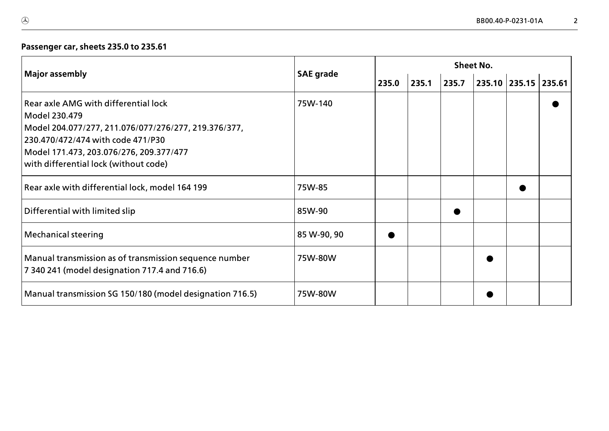## **Passenger car, sheets 235.0 to 235.61**

|                                                                                                                                                                                                                                        |                  | <b>Sheet No.</b> |       |       |  |                      |  |  |  |  |
|----------------------------------------------------------------------------------------------------------------------------------------------------------------------------------------------------------------------------------------|------------------|------------------|-------|-------|--|----------------------|--|--|--|--|
| <b>Major assembly</b>                                                                                                                                                                                                                  | <b>SAE grade</b> | 235.0            | 235.1 | 235.7 |  | 235.10 235.15 235.61 |  |  |  |  |
| Rear axle AMG with differential lock<br>Model 230.479<br>Model 204.077/277, 211.076/077/276/277, 219.376/377,<br>230.470/472/474 with code 471/P30<br>Model 171.473, 203.076/276, 209.377/477<br>with differential lock (without code) | 75W-140          |                  |       |       |  |                      |  |  |  |  |
| Rear axle with differential lock, model 164 199                                                                                                                                                                                        | 75W-85           |                  |       |       |  |                      |  |  |  |  |
| Differential with limited slip                                                                                                                                                                                                         | 85W-90           |                  |       |       |  |                      |  |  |  |  |
| <b>Mechanical steering</b>                                                                                                                                                                                                             | 85 W-90, 90      |                  |       |       |  |                      |  |  |  |  |
| Manual transmission as of transmission sequence number<br>7 340 241 (model designation 717.4 and 716.6)                                                                                                                                | 75W-80W          |                  |       |       |  |                      |  |  |  |  |
| Manual transmission SG 150/180 (model designation 716.5)                                                                                                                                                                               | 75W-80W          |                  |       |       |  |                      |  |  |  |  |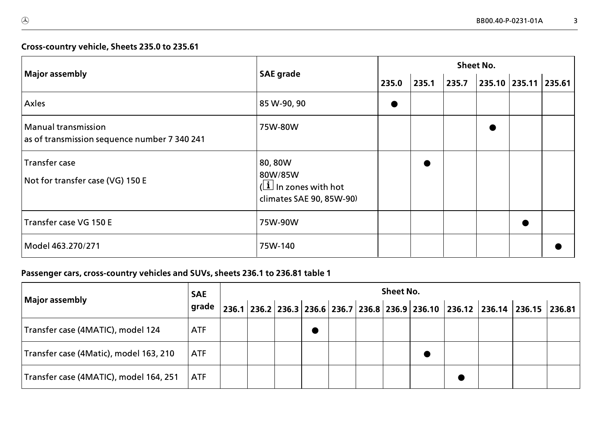#### **Cross>country vehicle, Sheets 235.0 to 235.61**

| <b>Major assembly</b>                                               | <b>SAE</b> grade                                                                         | <b>Sheet No.</b> |       |       |  |                          |  |  |  |
|---------------------------------------------------------------------|------------------------------------------------------------------------------------------|------------------|-------|-------|--|--------------------------|--|--|--|
|                                                                     |                                                                                          | 235.0            | 235.1 | 235.7 |  | 235.10   235.11   235.61 |  |  |  |
| Axles                                                               | 85 W-90, 90                                                                              | $\bullet$        |       |       |  |                          |  |  |  |
| Manual transmission<br>as of transmission sequence number 7 340 241 | 75W-80W                                                                                  |                  |       |       |  |                          |  |  |  |
| Transfer case<br>Not for transfer case (VG) 150 E                   | 80,80W<br>80W/85W<br>$(\boxed{\mathbf{i}}$ In zones with hot<br>climates SAE 90, 85W-90) |                  |       |       |  |                          |  |  |  |
| Transfer case VG 150 E                                              | 75W-90W                                                                                  |                  |       |       |  |                          |  |  |  |
| Model 463.270/271                                                   | 75W-140                                                                                  |                  |       |       |  |                          |  |  |  |

| Major assembly                         | <b>SAE</b> | <b>Sheet No.</b> |  |  |  |  |  |  |  |                                                                                                                                                                         |  |  |  |
|----------------------------------------|------------|------------------|--|--|--|--|--|--|--|-------------------------------------------------------------------------------------------------------------------------------------------------------------------------|--|--|--|
|                                        | grade      |                  |  |  |  |  |  |  |  | $\mid$ 236.1 $\mid$ 236.2 $\mid$ 236.3 $\mid$ 236.6 $\mid$ 236.7 $\mid$ 236.8 $\mid$ 236.9 $\mid$ 236.10 $\mid$ 236.12 $\mid$ 236.14 $\mid$ 236.15 $\mid$ 236.81 $\mid$ |  |  |  |
| Transfer case (4MATIC), model 124      | <b>ATF</b> |                  |  |  |  |  |  |  |  |                                                                                                                                                                         |  |  |  |
| Transfer case (4Matic), model 163, 210 | <b>ATF</b> |                  |  |  |  |  |  |  |  |                                                                                                                                                                         |  |  |  |
| Transfer case (4MATIC), model 164, 251 | <b>ATF</b> |                  |  |  |  |  |  |  |  |                                                                                                                                                                         |  |  |  |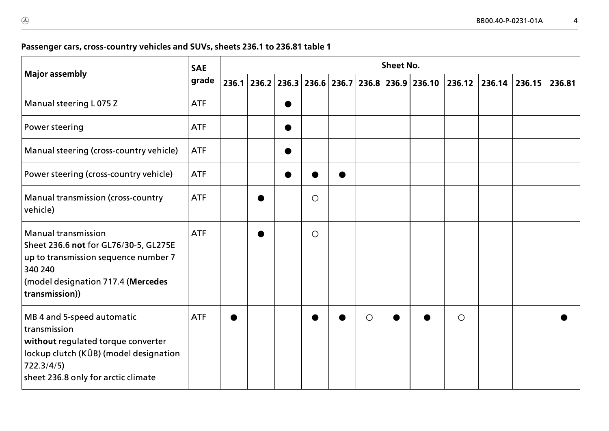| <b>Major assembly</b>                                                                                                                                                           | <b>SAE</b> | <b>Sheet No.</b> |  |  |         |  |            |  |  |         |                                                                              |  |  |
|---------------------------------------------------------------------------------------------------------------------------------------------------------------------------------|------------|------------------|--|--|---------|--|------------|--|--|---------|------------------------------------------------------------------------------|--|--|
|                                                                                                                                                                                 | grade      |                  |  |  |         |  |            |  |  |         | 236.1 236.2 236.3 236.6 236.7 236.8 236.9 236.10 236.12 236.14 236.15 236.81 |  |  |
| Manual steering L 075 Z                                                                                                                                                         | <b>ATF</b> |                  |  |  |         |  |            |  |  |         |                                                                              |  |  |
| Power steering                                                                                                                                                                  | <b>ATF</b> |                  |  |  |         |  |            |  |  |         |                                                                              |  |  |
| Manual steering (cross-country vehicle)                                                                                                                                         | <b>ATF</b> |                  |  |  |         |  |            |  |  |         |                                                                              |  |  |
| Power steering (cross-country vehicle)                                                                                                                                          | <b>ATF</b> |                  |  |  |         |  |            |  |  |         |                                                                              |  |  |
| <b>Manual transmission (cross-country</b><br>vehicle)                                                                                                                           | <b>ATF</b> |                  |  |  | $\circ$ |  |            |  |  |         |                                                                              |  |  |
| <b>Manual transmission</b><br>Sheet 236.6 not for GL76/30-5, GL275E<br>up to transmission sequence number 7<br>340 240<br>(model designation 717.4 (Mercedes<br>transmission))  | <b>ATF</b> |                  |  |  | $\circ$ |  |            |  |  |         |                                                                              |  |  |
| MB 4 and 5-speed automatic<br>transmission<br>without regulated torque converter<br>lockup clutch (KÜB) (model designation<br>722.3/4/5)<br>sheet 236.8 only for arctic climate | <b>ATF</b> |                  |  |  |         |  | $\bigcirc$ |  |  | $\circ$ |                                                                              |  |  |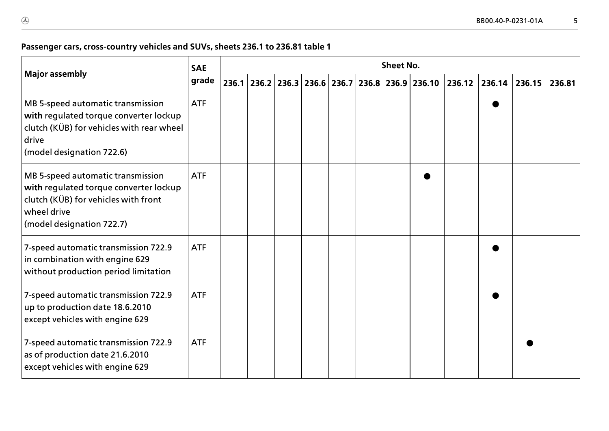| <b>Major assembly</b>                                                                                                                                           | <b>SAE</b> | <b>Sheet No.</b> |  |  |  |  |  |  |  |  |  |                                                                              |  |
|-----------------------------------------------------------------------------------------------------------------------------------------------------------------|------------|------------------|--|--|--|--|--|--|--|--|--|------------------------------------------------------------------------------|--|
|                                                                                                                                                                 | grade      |                  |  |  |  |  |  |  |  |  |  | 236.1 236.2 236.3 236.6 236.7 236.8 236.9 236.10 236.12 236.14 236.15 236.81 |  |
| MB 5-speed automatic transmission<br>with regulated torque converter lockup<br>clutch (KÜB) for vehicles with rear wheel<br>drive<br>(model designation 722.6)  | <b>ATF</b> |                  |  |  |  |  |  |  |  |  |  |                                                                              |  |
| MB 5-speed automatic transmission<br>with regulated torque converter lockup<br>clutch (KÜB) for vehicles with front<br>wheel drive<br>(model designation 722.7) | <b>ATF</b> |                  |  |  |  |  |  |  |  |  |  |                                                                              |  |
| 7-speed automatic transmission 722.9<br>in combination with engine 629<br>without production period limitation                                                  | <b>ATF</b> |                  |  |  |  |  |  |  |  |  |  |                                                                              |  |
| 7-speed automatic transmission 722.9<br>up to production date 18.6.2010<br>except vehicles with engine 629                                                      | <b>ATF</b> |                  |  |  |  |  |  |  |  |  |  |                                                                              |  |
| 7-speed automatic transmission 722.9<br>as of production date 21.6.2010<br>except vehicles with engine 629                                                      | <b>ATF</b> |                  |  |  |  |  |  |  |  |  |  |                                                                              |  |